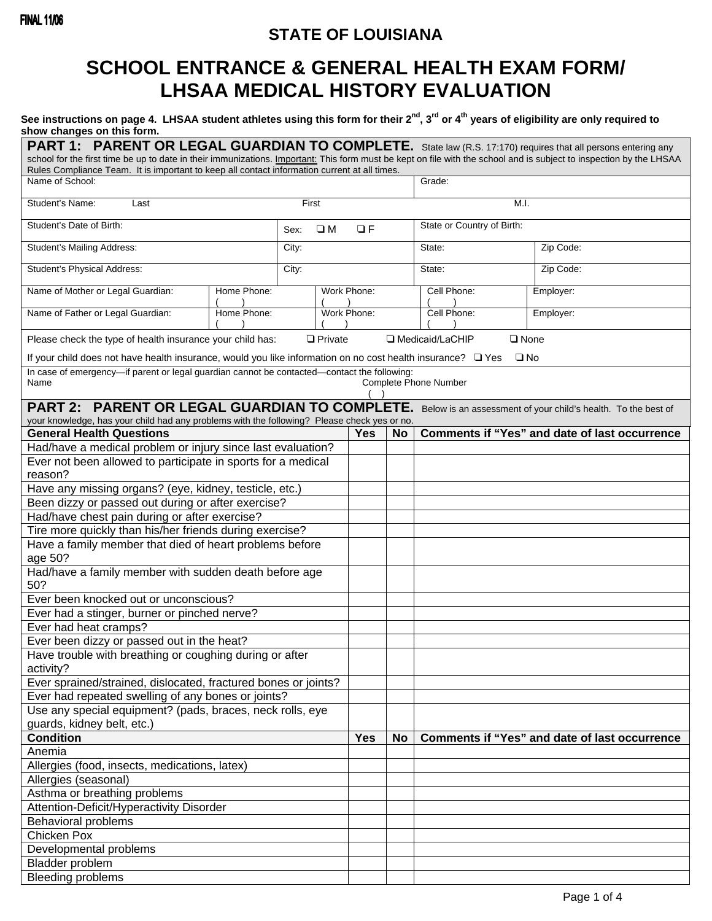# **STATE OF LOUISIANA**

# **SCHOOL ENTRANCE & GENERAL HEALTH EXAM FORM/ LHSAA MEDICAL HISTORY EVALUATION**

## See instructions on page 4. LHSAA student athletes using this form for their 2<sup>nd</sup>, 3<sup>rd</sup> or 4<sup>th</sup> years of eligibility are only required to **show changes on this form.**

| PART 1: PARENT OR LEGAL GUARDIAN TO COMPLETE. State law (R.S. 17:170) requires that all persons entering any<br>school for the first time be up to date in their immunizations. Important: This form must be kept on file with the school and is subject to inspection by the LHSAA |                                                           |             |                           |             |           |                                   |                                                      |  |  |  |  |
|-------------------------------------------------------------------------------------------------------------------------------------------------------------------------------------------------------------------------------------------------------------------------------------|-----------------------------------------------------------|-------------|---------------------------|-------------|-----------|-----------------------------------|------------------------------------------------------|--|--|--|--|
| Rules Compliance Team. It is important to keep all contact information current at all times.<br>Name of School:                                                                                                                                                                     |                                                           | Grade:      |                           |             |           |                                   |                                                      |  |  |  |  |
|                                                                                                                                                                                                                                                                                     |                                                           |             |                           |             |           |                                   |                                                      |  |  |  |  |
| Student's Name:<br>Last                                                                                                                                                                                                                                                             |                                                           |             |                           | M.I.        |           |                                   |                                                      |  |  |  |  |
| Student's Date of Birth:                                                                                                                                                                                                                                                            |                                                           |             | $\square$ M<br>QF<br>Sex: |             |           | State or Country of Birth:        |                                                      |  |  |  |  |
| Student's Mailing Address:                                                                                                                                                                                                                                                          |                                                           |             | City:                     |             |           | State:                            | Zip Code:                                            |  |  |  |  |
| Student's Physical Address:                                                                                                                                                                                                                                                         |                                                           |             | City:                     |             |           | State:                            | Zip Code:                                            |  |  |  |  |
| Name of Mother or Legal Guardian:                                                                                                                                                                                                                                                   | Home Phone:                                               | Work Phone: |                           |             |           | Cell Phone:                       | Employer:                                            |  |  |  |  |
| Name of Father or Legal Guardian:                                                                                                                                                                                                                                                   | Home Phone:                                               |             |                           | Work Phone: |           | Cell Phone:                       | Employer:                                            |  |  |  |  |
| Please check the type of health insurance your child has:                                                                                                                                                                                                                           |                                                           |             | $\Box$ Private            |             |           | Medicaid/LaCHIP<br>$\square$ None |                                                      |  |  |  |  |
| If your child does not have health insurance, would you like information on no cost health insurance? Q Yes                                                                                                                                                                         |                                                           |             |                           |             |           | $\square$ No                      |                                                      |  |  |  |  |
| In case of emergency-if parent or legal guardian cannot be contacted-contact the following:<br>Complete Phone Number<br>Name                                                                                                                                                        |                                                           |             |                           |             |           |                                   |                                                      |  |  |  |  |
| PART 2: PARENT OR LEGAL GUARDIAN TO COMPLETE. Below is an assessment of your child's health. To the best of<br>your knowledge, has your child had any problems with the following? Please check yes or no.                                                                          |                                                           |             |                           |             |           |                                   |                                                      |  |  |  |  |
| <b>General Health Questions</b>                                                                                                                                                                                                                                                     |                                                           |             |                           | <b>Yes</b>  | No        |                                   | <b>Comments if "Yes" and date of last occurrence</b> |  |  |  |  |
| Had/have a medical problem or injury since last evaluation?                                                                                                                                                                                                                         |                                                           |             |                           |             |           |                                   |                                                      |  |  |  |  |
| Ever not been allowed to participate in sports for a medical                                                                                                                                                                                                                        |                                                           |             |                           |             |           |                                   |                                                      |  |  |  |  |
| reason?                                                                                                                                                                                                                                                                             |                                                           |             |                           |             |           |                                   |                                                      |  |  |  |  |
| Have any missing organs? (eye, kidney, testicle, etc.)                                                                                                                                                                                                                              |                                                           |             |                           |             |           |                                   |                                                      |  |  |  |  |
| Been dizzy or passed out during or after exercise?                                                                                                                                                                                                                                  |                                                           |             |                           |             |           |                                   |                                                      |  |  |  |  |
| Had/have chest pain during or after exercise?                                                                                                                                                                                                                                       |                                                           |             |                           |             |           |                                   |                                                      |  |  |  |  |
| Tire more quickly than his/her friends during exercise?                                                                                                                                                                                                                             |                                                           |             |                           |             |           |                                   |                                                      |  |  |  |  |
| Have a family member that died of heart problems before<br>age 50?                                                                                                                                                                                                                  |                                                           |             |                           |             |           |                                   |                                                      |  |  |  |  |
| Had/have a family member with sudden death before age                                                                                                                                                                                                                               |                                                           |             |                           |             |           |                                   |                                                      |  |  |  |  |
| 50?                                                                                                                                                                                                                                                                                 |                                                           |             |                           |             |           |                                   |                                                      |  |  |  |  |
| Ever been knocked out or unconscious?                                                                                                                                                                                                                                               |                                                           |             |                           |             |           |                                   |                                                      |  |  |  |  |
| Ever had a stinger, burner or pinched nerve?<br>Ever had heat cramps?                                                                                                                                                                                                               |                                                           |             |                           |             |           |                                   |                                                      |  |  |  |  |
|                                                                                                                                                                                                                                                                                     |                                                           |             |                           |             |           |                                   |                                                      |  |  |  |  |
| Ever been dizzy or passed out in the heat?                                                                                                                                                                                                                                          |                                                           |             |                           |             |           |                                   |                                                      |  |  |  |  |
| Have trouble with breathing or coughing during or after<br>activity?                                                                                                                                                                                                                |                                                           |             |                           |             |           |                                   |                                                      |  |  |  |  |
| Ever sprained/strained, dislocated, fractured bones or joints?                                                                                                                                                                                                                      |                                                           |             |                           |             |           |                                   |                                                      |  |  |  |  |
| Ever had repeated swelling of any bones or joints?                                                                                                                                                                                                                                  |                                                           |             |                           |             |           |                                   |                                                      |  |  |  |  |
|                                                                                                                                                                                                                                                                                     | Use any special equipment? (pads, braces, neck rolls, eye |             |                           |             |           |                                   |                                                      |  |  |  |  |
| guards, kidney belt, etc.)                                                                                                                                                                                                                                                          |                                                           | <b>Yes</b>  |                           |             |           |                                   |                                                      |  |  |  |  |
| <b>Condition</b>                                                                                                                                                                                                                                                                    |                                                           |             |                           |             | <b>No</b> |                                   | <b>Comments if "Yes" and date of last occurrence</b> |  |  |  |  |
| Anemia                                                                                                                                                                                                                                                                              |                                                           |             |                           |             |           |                                   |                                                      |  |  |  |  |
| Allergies (food, insects, medications, latex)                                                                                                                                                                                                                                       |                                                           |             |                           |             |           |                                   |                                                      |  |  |  |  |
| Allergies (seasonal)                                                                                                                                                                                                                                                                |                                                           |             |                           |             |           |                                   |                                                      |  |  |  |  |
| Asthma or breathing problems                                                                                                                                                                                                                                                        |                                                           |             |                           |             |           |                                   |                                                      |  |  |  |  |
| Attention-Deficit/Hyperactivity Disorder                                                                                                                                                                                                                                            |                                                           |             |                           |             |           |                                   |                                                      |  |  |  |  |
| <b>Behavioral problems</b>                                                                                                                                                                                                                                                          |                                                           |             |                           |             |           |                                   |                                                      |  |  |  |  |
| Chicken Pox                                                                                                                                                                                                                                                                         |                                                           |             |                           |             |           |                                   |                                                      |  |  |  |  |
| Developmental problems                                                                                                                                                                                                                                                              |                                                           |             |                           |             |           |                                   |                                                      |  |  |  |  |
| Bladder problem                                                                                                                                                                                                                                                                     |                                                           |             |                           |             |           |                                   |                                                      |  |  |  |  |
| <b>Bleeding problems</b>                                                                                                                                                                                                                                                            |                                                           |             |                           |             |           |                                   |                                                      |  |  |  |  |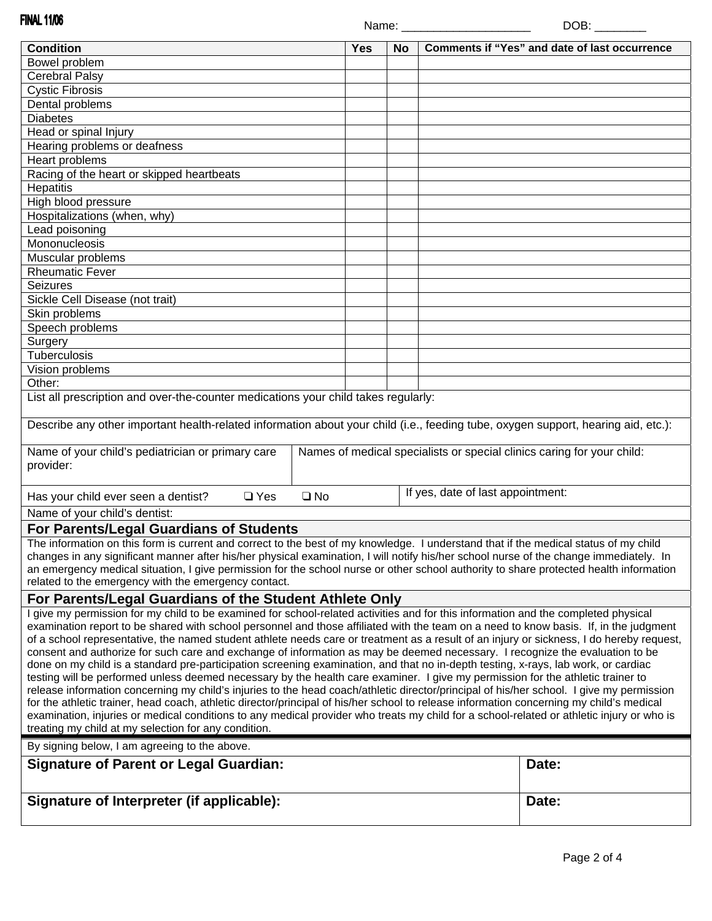**FINAL 11/06** Name: \_\_\_\_\_\_\_\_\_\_\_\_\_\_\_\_\_\_\_\_\_\_\_\_\_\_\_\_\_\_\_\_DOB: **Condition Condition Condition Condition Comments if "Yes" and date of last occurrence Condition** Bowel problem Cerebral Palsy Cystic Fibrosis Dental problems **Diabetes** Head or spinal Injury Hearing problems or deafness Heart problems Racing of the heart or skipped heartbeats **Hepatitis** High blood pressure Hospitalizations (when, why) Lead poisoning **Mononucleosis** Muscular problems Rheumatic Fever Seizures Sickle Cell Disease (not trait) Skin problems Speech problems **Surgery** Tuberculosis Vision problems Other: List all prescription and over-the-counter medications your child takes regularly: Describe any other important health-related information about your child (i.e., feeding tube, oxygen support, hearing aid, etc.): Name of your child's pediatrician or primary care Names of medical specialists or special clinics caring for your child: provider: Has your child ever seen a dentist? ❑ Yes ❑ No If yes, date of last appointment: Name of your child's dentist: **For Parents/Legal Guardians of Students** The information on this form is current and correct to the best of my knowledge. I understand that if the medical status of my child changes in any significant manner after his/her physical examination, I will notify his/her school nurse of the change immediately. In an emergency medical situation, I give permission for the school nurse or other school authority to share protected health information related to the emergency with the emergency contact. **For Parents/Legal Guardians of the Student Athlete Only**  I give my permission for my child to be examined for school-related activities and for this information and the completed physical examination report to be shared with school personnel and those affiliated with the team on a need to know basis. If, in the judgment of a school representative, the named student athlete needs care or treatment as a result of an injury or sickness, I do hereby request, consent and authorize for such care and exchange of information as may be deemed necessary. I recognize the evaluation to be done on my child is a standard pre-participation screening examination, and that no in-depth testing, x-rays, lab work, or cardiac testing will be performed unless deemed necessary by the health care examiner. I give my permission for the athletic trainer to release information concerning my child's injuries to the head coach/athletic director/principal of his/her school. I give my permission for the athletic trainer, head coach, athletic director/principal of his/her school to release information concerning my child's medical examination, injuries or medical conditions to any medical provider who treats my child for a school-related or athletic injury or who is treating my child at my selection for any condition. By signing below, I am agreeing to the above. **Signature of Parent or Legal Guardian:**  $\qquad \qquad$  Date: Signature of Interpreter (if applicable): <br>
Date: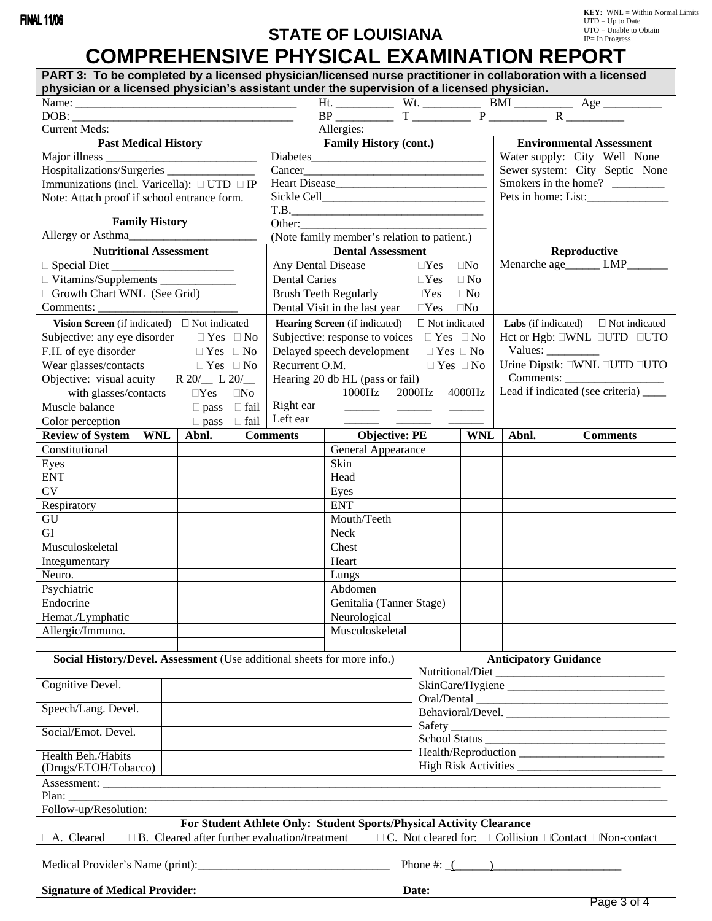## **STATE OF LOUISIANA**

# **COMPREHENSIVE PHYSICAL EXAMINATION REPORT**

| PART 3: To be completed by a licensed physician/licensed nurse practitioner in collaboration with a licensed<br>physician or a licensed physician's assistant under the supervision of a licensed physician.                                                                                                                                                                                                  |  |                         |  |                                                                         |                                                     |                                |                   |                                                                 |                 |  |
|---------------------------------------------------------------------------------------------------------------------------------------------------------------------------------------------------------------------------------------------------------------------------------------------------------------------------------------------------------------------------------------------------------------|--|-------------------------|--|-------------------------------------------------------------------------|-----------------------------------------------------|--------------------------------|-------------------|-----------------------------------------------------------------|-----------------|--|
|                                                                                                                                                                                                                                                                                                                                                                                                               |  |                         |  |                                                                         |                                                     |                                |                   |                                                                 |                 |  |
|                                                                                                                                                                                                                                                                                                                                                                                                               |  |                         |  |                                                                         |                                                     |                                |                   |                                                                 |                 |  |
| <b>Current Meds:</b>                                                                                                                                                                                                                                                                                                                                                                                          |  |                         |  |                                                                         | Allergies:                                          |                                |                   |                                                                 |                 |  |
|                                                                                                                                                                                                                                                                                                                                                                                                               |  |                         |  |                                                                         |                                                     |                                |                   |                                                                 |                 |  |
| <b>Past Medical History</b>                                                                                                                                                                                                                                                                                                                                                                                   |  |                         |  |                                                                         | <b>Family History (cont.)</b>                       |                                |                   | <b>Environmental Assessment</b><br>Water supply: City Well None |                 |  |
|                                                                                                                                                                                                                                                                                                                                                                                                               |  |                         |  |                                                                         |                                                     |                                |                   |                                                                 |                 |  |
| Hospitalizations/Surgeries __________________                                                                                                                                                                                                                                                                                                                                                                 |  |                         |  |                                                                         |                                                     | Sewer system: City Septic None |                   |                                                                 |                 |  |
| Immunizations (incl. Varicella): $\Box$ UTD $\Box$ IP                                                                                                                                                                                                                                                                                                                                                         |  |                         |  |                                                                         |                                                     | Smokers in the home?           |                   |                                                                 |                 |  |
| Note: Attach proof if school entrance form.                                                                                                                                                                                                                                                                                                                                                                   |  |                         |  |                                                                         |                                                     | Pets in home: List:            |                   |                                                                 |                 |  |
|                                                                                                                                                                                                                                                                                                                                                                                                               |  |                         |  | T.B.                                                                    |                                                     |                                |                   |                                                                 |                 |  |
| <b>Family History</b>                                                                                                                                                                                                                                                                                                                                                                                         |  |                         |  | Other:                                                                  |                                                     |                                |                   |                                                                 |                 |  |
| Allergy or Asthma                                                                                                                                                                                                                                                                                                                                                                                             |  |                         |  | (Note family member's relation to patient.)                             |                                                     |                                |                   |                                                                 |                 |  |
| <b>Nutritional Assessment</b>                                                                                                                                                                                                                                                                                                                                                                                 |  |                         |  |                                                                         | <b>Dental Assessment</b>                            |                                |                   | Reproductive                                                    |                 |  |
| $\Box$ Special Diet                                                                                                                                                                                                                                                                                                                                                                                           |  |                         |  |                                                                         | Any Dental Disease                                  | $\Box$ Yes $\Box$ No           |                   | Menarche age_______ LMP_______                                  |                 |  |
|                                                                                                                                                                                                                                                                                                                                                                                                               |  |                         |  | <b>Dental Caries</b>                                                    |                                                     | $\Box Yes \quad \Box No$       |                   |                                                                 |                 |  |
| Growth Chart WNL (See Grid)                                                                                                                                                                                                                                                                                                                                                                                   |  |                         |  |                                                                         | <b>Brush Teeth Regularly</b>                        | $\Box$ Yes $\Box$ No           |                   |                                                                 |                 |  |
| Comments:                                                                                                                                                                                                                                                                                                                                                                                                     |  |                         |  |                                                                         | Dental Visit in the last year $\Box$ Yes $\Box$ No  |                                |                   |                                                                 |                 |  |
| Vision Screen (if indicated) $\Box$ Not indicated                                                                                                                                                                                                                                                                                                                                                             |  |                         |  |                                                                         | <b>Hearing Screen</b> (if indicated)                | $\Box$ Not indicated           |                   | <b>Labs</b> (if indicated) $\Box$ Not indicated                 |                 |  |
| Subjective: any eye disorder $\Box$ Yes $\Box$ No                                                                                                                                                                                                                                                                                                                                                             |  |                         |  |                                                                         | Subjective: response to voices $\Box$ Yes $\Box$ No |                                |                   | Het or Hgb: □WNL □UTD □UTO                                      |                 |  |
|                                                                                                                                                                                                                                                                                                                                                                                                               |  | $\Box$ Yes $\Box$ No    |  |                                                                         | Delayed speech development $\Box$ Yes $\Box$ No     |                                |                   |                                                                 |                 |  |
| F.H. of eye disorder                                                                                                                                                                                                                                                                                                                                                                                          |  |                         |  |                                                                         |                                                     |                                |                   | Values:                                                         |                 |  |
| Wear glasses/contacts $\Box$ Yes $\Box$ No                                                                                                                                                                                                                                                                                                                                                                    |  |                         |  | Recurrent O.M.                                                          |                                                     | $\Box$ Yes $\Box$ No           |                   | Urine Dipstk: UWNL UTD UTO                                      |                 |  |
| Objective: visual acuity $R 20/ L 20/$                                                                                                                                                                                                                                                                                                                                                                        |  |                         |  |                                                                         | Hearing 20 db HL (pass or fail)                     |                                |                   | Comments:                                                       |                 |  |
| with glasses/contacts $\Box$ Yes $\Box$ No                                                                                                                                                                                                                                                                                                                                                                    |  |                         |  |                                                                         | 1000Hz                                              | 2000Hz 4000Hz                  |                   | Lead if indicated (see criteria)                                |                 |  |
| Muscle balance                                                                                                                                                                                                                                                                                                                                                                                                |  | $\Box$ pass $\Box$ fail |  |                                                                         | Right ear                                           |                                |                   |                                                                 |                 |  |
| Color perception $\Box$ pass $\Box$ fail                                                                                                                                                                                                                                                                                                                                                                      |  |                         |  | Left ear                                                                |                                                     |                                |                   |                                                                 |                 |  |
| Review of System   WNL   Abnl.   Comments                                                                                                                                                                                                                                                                                                                                                                     |  |                         |  |                                                                         | <b>Objective: PE</b>                                |                                | WNL               | Abnl.                                                           | <b>Comments</b> |  |
| Constitutional                                                                                                                                                                                                                                                                                                                                                                                                |  |                         |  |                                                                         | General Appearance                                  |                                |                   |                                                                 |                 |  |
| Eyes                                                                                                                                                                                                                                                                                                                                                                                                          |  |                         |  |                                                                         | Skin                                                |                                |                   |                                                                 |                 |  |
| <b>ENT</b>                                                                                                                                                                                                                                                                                                                                                                                                    |  |                         |  |                                                                         | Head                                                |                                |                   |                                                                 |                 |  |
| <b>CV</b>                                                                                                                                                                                                                                                                                                                                                                                                     |  |                         |  |                                                                         | Eyes                                                |                                |                   |                                                                 |                 |  |
| Respiratory                                                                                                                                                                                                                                                                                                                                                                                                   |  |                         |  |                                                                         | <b>ENT</b>                                          |                                |                   |                                                                 |                 |  |
| GU                                                                                                                                                                                                                                                                                                                                                                                                            |  |                         |  |                                                                         | Mouth/Teeth                                         |                                |                   |                                                                 |                 |  |
| GI                                                                                                                                                                                                                                                                                                                                                                                                            |  |                         |  |                                                                         | Neck                                                |                                |                   |                                                                 |                 |  |
| Musculoskeletal                                                                                                                                                                                                                                                                                                                                                                                               |  |                         |  |                                                                         | Chest                                               |                                |                   |                                                                 |                 |  |
| Integumentary                                                                                                                                                                                                                                                                                                                                                                                                 |  |                         |  |                                                                         | Heart                                               |                                |                   |                                                                 |                 |  |
| Neuro.                                                                                                                                                                                                                                                                                                                                                                                                        |  |                         |  |                                                                         |                                                     |                                |                   |                                                                 |                 |  |
|                                                                                                                                                                                                                                                                                                                                                                                                               |  |                         |  |                                                                         | Lungs                                               |                                |                   |                                                                 |                 |  |
| Psychiatric                                                                                                                                                                                                                                                                                                                                                                                                   |  |                         |  |                                                                         | Abdomen                                             |                                |                   |                                                                 |                 |  |
| Endocrine                                                                                                                                                                                                                                                                                                                                                                                                     |  |                         |  |                                                                         | Genitalia (Tanner Stage)                            |                                |                   |                                                                 |                 |  |
| Hemat./Lymphatic                                                                                                                                                                                                                                                                                                                                                                                              |  |                         |  |                                                                         | Neurological                                        |                                |                   |                                                                 |                 |  |
| Allergic/Immuno.                                                                                                                                                                                                                                                                                                                                                                                              |  |                         |  |                                                                         | Musculoskeletal                                     |                                |                   |                                                                 |                 |  |
|                                                                                                                                                                                                                                                                                                                                                                                                               |  |                         |  |                                                                         |                                                     |                                |                   |                                                                 |                 |  |
|                                                                                                                                                                                                                                                                                                                                                                                                               |  |                         |  | Social History/Devel. Assessment (Use additional sheets for more info.) |                                                     |                                |                   | <b>Anticipatory Guidance</b>                                    |                 |  |
|                                                                                                                                                                                                                                                                                                                                                                                                               |  |                         |  |                                                                         |                                                     |                                | Nutritional/Diet  |                                                                 |                 |  |
| Cognitive Devel.                                                                                                                                                                                                                                                                                                                                                                                              |  |                         |  |                                                                         |                                                     |                                |                   |                                                                 |                 |  |
| Speech/Lang. Devel.                                                                                                                                                                                                                                                                                                                                                                                           |  |                         |  |                                                                         |                                                     |                                |                   |                                                                 |                 |  |
|                                                                                                                                                                                                                                                                                                                                                                                                               |  |                         |  |                                                                         |                                                     |                                | Behavioral/Devel. |                                                                 |                 |  |
| Social/Emot. Devel.                                                                                                                                                                                                                                                                                                                                                                                           |  |                         |  |                                                                         |                                                     |                                |                   |                                                                 |                 |  |
|                                                                                                                                                                                                                                                                                                                                                                                                               |  |                         |  |                                                                         |                                                     |                                |                   |                                                                 |                 |  |
| Health Beh./Habits                                                                                                                                                                                                                                                                                                                                                                                            |  |                         |  |                                                                         |                                                     |                                |                   |                                                                 |                 |  |
| (Drugs/ETOH/Tobacco)                                                                                                                                                                                                                                                                                                                                                                                          |  |                         |  |                                                                         |                                                     |                                |                   |                                                                 |                 |  |
|                                                                                                                                                                                                                                                                                                                                                                                                               |  |                         |  |                                                                         |                                                     |                                |                   |                                                                 |                 |  |
| Plan: $\frac{1}{\sqrt{1-\frac{1}{2}}\sqrt{1-\frac{1}{2}}\sqrt{1-\frac{1}{2}}\sqrt{1-\frac{1}{2}}\sqrt{1-\frac{1}{2}}\sqrt{1-\frac{1}{2}}\sqrt{1-\frac{1}{2}}\sqrt{1-\frac{1}{2}}\sqrt{1-\frac{1}{2}}\sqrt{1-\frac{1}{2}}\sqrt{1-\frac{1}{2}}\sqrt{1-\frac{1}{2}}\sqrt{1-\frac{1}{2}}\sqrt{1-\frac{1}{2}}\sqrt{1-\frac{1}{2}}\sqrt{1-\frac{1}{2}}\sqrt{1-\frac{1}{2}}\sqrt{1-\frac{1}{2}}\sqrt{1-\frac{1}{2}}$ |  |                         |  |                                                                         |                                                     |                                |                   |                                                                 |                 |  |
| Follow-up/Resolution:                                                                                                                                                                                                                                                                                                                                                                                         |  |                         |  |                                                                         |                                                     |                                |                   |                                                                 |                 |  |
| For Student Athlete Only: Student Sports/Physical Activity Clearance                                                                                                                                                                                                                                                                                                                                          |  |                         |  |                                                                         |                                                     |                                |                   |                                                                 |                 |  |
| $\Box$ C. Not cleared for: $\Box$ Collision $\Box$ Contact $\Box$ Non-contact<br>$\Box$ B. Cleared after further evaluation/treatment<br>$\Box$ A. Cleared                                                                                                                                                                                                                                                    |  |                         |  |                                                                         |                                                     |                                |                   |                                                                 |                 |  |
|                                                                                                                                                                                                                                                                                                                                                                                                               |  |                         |  |                                                                         |                                                     |                                |                   |                                                                 |                 |  |
| Phone #: $($                                                                                                                                                                                                                                                                                                                                                                                                  |  |                         |  |                                                                         |                                                     |                                |                   |                                                                 |                 |  |
|                                                                                                                                                                                                                                                                                                                                                                                                               |  |                         |  |                                                                         |                                                     |                                |                   |                                                                 |                 |  |
| <b>Signature of Medical Provider:</b><br>Date:                                                                                                                                                                                                                                                                                                                                                                |  |                         |  |                                                                         |                                                     |                                |                   |                                                                 |                 |  |